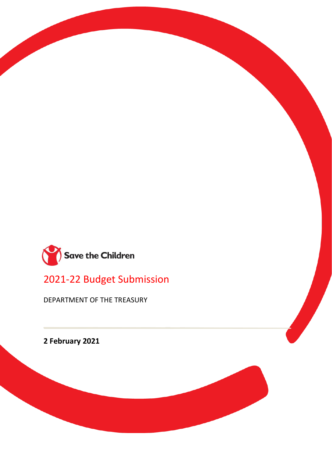

2021-22 Budget Submission

DEPARTMENT OF THE TREASURY

**2 February 2021**

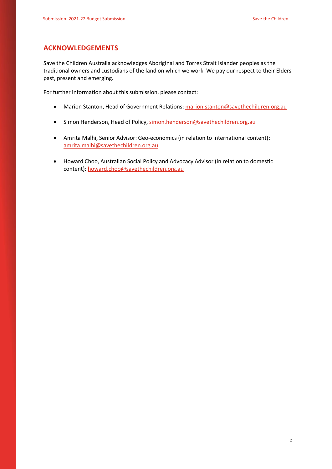### **ACKNOWLEDGEMENTS**

Save the Children Australia acknowledges Aboriginal and Torres Strait Islander peoples as the traditional owners and custodians of the land on which we work. We pay our respect to their Elders past, present and emerging.

For further information about this submission, please contact:

- Marion Stanton, Head of Government Relations[: marion.stanton@savethechildren.org.au](mailto:marion.stanton@savethechildren.org.au)
- Simon Henderson, Head of Policy[, simon.henderson@savethechildren.org.au](mailto:simon.henderson@savethechildren.org.au)
- Amrita Malhi, Senior Advisor: Geo-economics (in relation to international content): [amrita.malhi@savethechildren.org.au](mailto:amrita.malhi@savethechildren.org.au)
- Howard Choo, Australian Social Policy and Advocacy Advisor (in relation to domestic content): [howard.choo@savethechildren.org.au](mailto:howard.choo@savethechildren.org.au)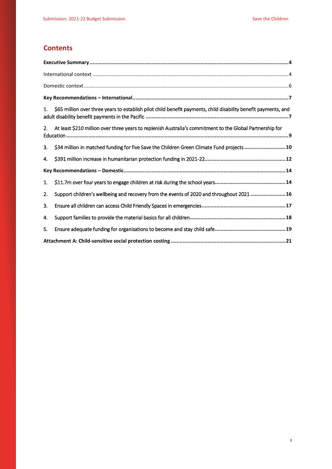# **Contents**

| 1 <sup>1</sup> | \$65 million over three years to establish pilot child benefit payments, child disability benefit payments, and |
|----------------|-----------------------------------------------------------------------------------------------------------------|
| 2.             | At least \$210 million over three years to replenish Australia's commitment to the Global Partnership for       |
| 3.             | \$34 million in matched funding for five Save the Children Green Climate Fund projects  10                      |
| 4.             |                                                                                                                 |
|                |                                                                                                                 |
| 1.             |                                                                                                                 |
| 2.             | Support children's wellbeing and recovery from the events of 2020 and throughout 2021  16                       |
| 3.             |                                                                                                                 |
| 4.             |                                                                                                                 |
| 5.             |                                                                                                                 |
|                |                                                                                                                 |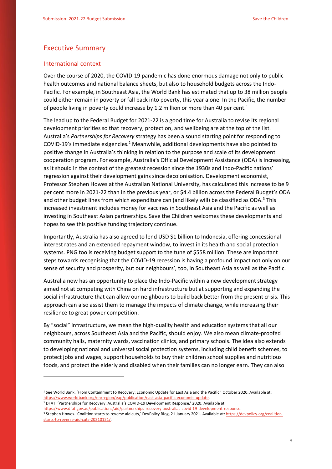### <span id="page-3-0"></span>Executive Summary

#### <span id="page-3-1"></span>International context

**.** 

Over the course of 2020, the COVID-19 pandemic has done enormous damage not only to public health outcomes and national balance sheets, but also to household budgets across the Indo-Pacific. For example, in Southeast Asia, the World Bank [has estimated](https://www.worldbank.org/en/region/eap/publication/east-asia-pacific-economic-update) that up to 38 million people could either remain in poverty or fall back into poverty, this year alone. In the Pacific, the number of people living in poverty could increase by 1.2 million or more than 40 per cent.<sup>1</sup>

The lead up to the Federal Budget for 2021-22 is a good time for Australia to revise its regional development priorities so that recovery, protection, and wellbeing are at the top of the list. Australia's *Partnerships for Recovery* strategy has been a sound starting point for responding to COVID-19's immediate exigencies.<sup>2</sup> Meanwhile, additional developments have also pointed to positive change in Australia's thinking in relation to the purpose and scale of its development cooperation program. For example, Australia's Official Development Assistance (ODA) is increasing, as it should in the context of the greatest recession since the 1930s and Indo-Pacific nations' regression against their development gains since decolonisation. Development economist, Professor Stephen Howes at the Australian National University, has calculated this increase to be 9 per cent more in 2021-22 than in the previous year, or \$4.4 billion across the Federal Budget's ODA and other budget lines from which expenditure can (and likely will) be classified as ODA.<sup>3</sup> This increased investment includes money for vaccines in Southeast Asia and the Pacific as well as investing in Southeast Asian partnerships. Save the Children welcomes these developments and hopes to see this positive funding trajectory continue.

Importantly, Australia has also agreed to [lend](https://www.thejakartapost.com/news/2020/11/12/indonesia-signs-1-billion-loan-with-australia-to-fund-pandemic-response.html) USD \$1 billion to Indonesia, offering concessional interest rates and an extended repayment window, to invest in its health and social protection systems. PNG too is receiving budget support to the tune of \$558 million. These are important steps towards recognising that the COVID-19 recession is having a profound impact not only on our sense of security and prosperity, but our neighbours', too, in Southeast Asia as well as the Pacific.

Australia now has an opportunity to place the Indo-Pacific within a new development strategy aimed not at competing with China on hard infrastructure but at supporting and expanding the social infrastructure that can allow our neighbours to build back better from the present crisis. This approach can also assist them to manage the impacts of climate change, while increasing their resilience to great power competition.

By "social" infrastructure, we mean the high-quality health and education systems that all our neighbours, across Southeast Asia and the Pacific, should enjoy. We also mean climate-proofed community halls, maternity wards, vaccination clinics, and primary schools. The idea also extends to developing national and universal social protection systems, including child benefit schemes, to protect jobs and wages, support households to buy their children school supplies and nutritious foods, and protect the elderly and disabled when their families can no longer earn. They can also

<sup>2</sup> DFAT. 'Partnerships for Recovery: Australia's COVID-19 Development Response,' 2020. Available at: [https://www.dfat.gov.au/publications/aid/partnerships-recovery-australias-covid-19-development-response.](https://www.dfat.gov.au/publications/aid/partnerships-recovery-australias-covid-19-development-response)

<sup>&</sup>lt;sup>1</sup> See World Bank. 'From Containment to Recovery: Economic Update for East Asia and the Pacific,' October 2020. Available at: [https://www.worldbank.org/en/region/eap/publication/east-asia-pacific-economic-update.](https://www.worldbank.org/en/region/eap/publication/east-asia-pacific-economic-update)

<sup>&</sup>lt;sup>3</sup> Stephen Howes. 'Coalition starts to reverse aid cuts,' DevPolicy Blog, 21 January 2021. Available at[: https://devpolicy.org/coalition](https://devpolicy.org/coalition-starts-to-reverse-aid-cuts-20210121/)[starts-to-reverse-aid-cuts-20210121/.](https://devpolicy.org/coalition-starts-to-reverse-aid-cuts-20210121/)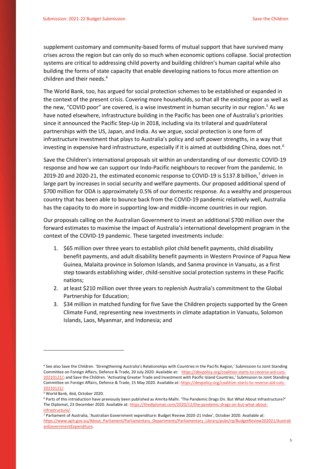supplement customary and community-based forms of mutual support that have survived many crises across the region but can only do so much when economic options collapse. Social protection systems are critical to addressing child poverty and building children's human capital while also building the forms of state capacity that enable developing nations to focus more attention on children and their needs.<sup>4</sup>

The World Bank, too, has argued for social protection schemes to be established or expanded in the context of the present crisis. Covering more households, so that all the existing poor as well as the new, "COVID poor" are covered, is a wise investment in human security in our region.<sup>5</sup> As we have noted elsewhere, infrastructure building in the Pacific has been one of Australia's priorities since it announced the Pacific Step-Up in 2018, including via its trilateral and quadrilateral partnerships with the US, Japan, and India. As we argue, social protection is one form of infrastructure investment that plays to Australia's policy and soft power strengths, in a way that investing in expensive hard infrastructure, especially if it is aimed at outbidding China, does not.<sup>6</sup>

Save the Children's international proposals sit within an understanding of our domestic COVID-19 response and how we can support our Indo-Pacific neighbours to recover from the pandemic. In 2019-20 and 2020-21, the estimated economic response to COVID-19 is \$137.8 billion,<sup>7</sup> driven in large part by increases in social security and welfare payments. Our proposed additional spend of \$700 million for ODA is approximately 0.5% of our domestic response. As a wealthy and prosperous country that has been able to bounce back from the COVID-19 pandemic relatively well, Australia has the capacity to do more in supporting low-and middle-income countries in our region.

Our proposals calling on the Australian Government to invest an additional \$700 million over the forward estimates to maximise the impact of Australia's international development program in the context of the COVID-19 pandemic. These targeted investments include:

- 1. \$65 million over three years to establish pilot child benefit payments, child disability benefit payments, and adult disability benefit payments in Western Province of Papua New Guinea, Malaita province in Solomon Islands, and Sanma province in Vanuatu, as a first step towards establishing wider, child-sensitive social protection systems in these Pacific nations;
- 2. at least \$210 million over three years to replenish Australia's commitment to the Global Partnership for Education;
- 3. \$34 million in matched funding for five Save the Children projects supported by the Green Climate Fund, representing new investments in climate adaptation in Vanuatu, Solomon Islands, Laos, Myanmar, and Indonesia; and

**.** 

<sup>4</sup> See also Save the Children. 'Strengthening Australia's Relationships with Countries in the Pacific Region,' Submission to Joint Standing Committee on Foreign Affairs, Defence & Trade, 20 July 2020. Available at: [https://devpolicy.org/coalition-starts-to-reverse-aid-cuts-](https://devpolicy.org/coalition-starts-to-reverse-aid-cuts-20210121/)[20210121/](https://devpolicy.org/coalition-starts-to-reverse-aid-cuts-20210121/); and Save the Children. 'Activating Greater Trade and Investment with Pacific Island Countries,' Submission to Joint Standing Committee on Foreign Affairs, Defence & Trade, 15 May 2020. Available at[: https://devpolicy.org/coalition-starts-to-reverse-aid-cuts-](https://devpolicy.org/coalition-starts-to-reverse-aid-cuts-20210121/)[20210121/.](https://devpolicy.org/coalition-starts-to-reverse-aid-cuts-20210121/)

<sup>5</sup> World Bank, ibid, October 2020.

<sup>6</sup> Parts of this introduction have previously been published as Amrita Malhi. 'The Pandemic Drags On. But What About Infrastructure?' The Diplomat, 23 December 2020. Available at: [https://thediplomat.com/2020/12/the-pandemic-drags-on-but-what-about](https://thediplomat.com/2020/12/the-pandemic-drags-on-but-what-about-infrastructure/)[infrastructure/.](https://thediplomat.com/2020/12/the-pandemic-drags-on-but-what-about-infrastructure/) 

<sup>7</sup> Parliament of Australia, 'Australian Government expenditure: Budget Review 2020-21 Index', October 2020. Available at: [https://www.aph.gov.au/About\\_Parliament/Parliamentary\\_Departments/Parliamentary\\_Library/pubs/rp/BudgetReview202021/Australi](https://www.aph.gov.au/About_Parliament/Parliamentary_Departments/Parliamentary_Library/pubs/rp/BudgetReview202021/AustralianGovernmentExpenditure) [anGovernmentExpenditure.](https://www.aph.gov.au/About_Parliament/Parliamentary_Departments/Parliamentary_Library/pubs/rp/BudgetReview202021/AustralianGovernmentExpenditure)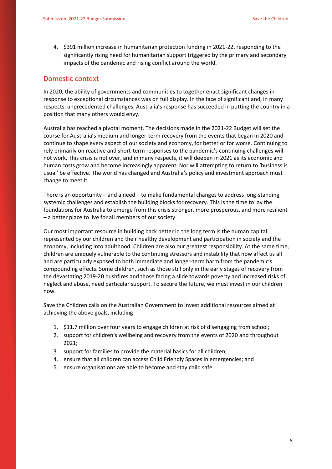4. \$391 million increase in humanitarian protection funding in 2021-22, responding to the significantly rising need for humanitarian support triggered by the primary and secondary impacts of the pandemic and rising conflict around the world.

### <span id="page-5-0"></span>Domestic context

In 2020, the ability of governments and communities to together enact significant changes in response to exceptional circumstances was on full display. In the face of significant and, in many respects, unprecedented challenges, Australia's response has succeeded in putting the country in a position that many others would envy.

Australia has reached a pivotal moment. The decisions made in the 2021-22 Budget will set the course for Australia's medium and longer-term recovery from the events that began in 2020 and continue to shape every aspect of our society and economy, for better or for worse. Continuing to rely primarily on reactive and short-term responses to the pandemic's continuing challenges will not work. This crisis is not over, and in many respects, it will deepen in 2021 as its economic and human costs grow and become increasingly apparent. Nor will attempting to return to 'business is usual' be effective. The world has changed and Australia's policy and investment approach must change to meet it.

There is an opportunity – and a need – to make fundamental changes to address long-standing systemic challenges and establish the building blocks for recovery. This is the time to lay the foundations for Australia to emerge from this crisis stronger, more prosperous, and more resilient – a better place to live for all members of our society.

Our most important resource in building back better in the long term is the human capital represented by our children and their healthy development and participation in society and the economy, including into adulthood. Children are also our greatest responsibility. At the same time, children are uniquely vulnerable to the continuing stressors and instability that now affect us all and are particularly exposed to both immediate and longer-term harm from the pandemic's compounding effects. Some children, such as those still only in the early stages of recovery from the devastating 2019-20 bushfires and those facing a slide towards poverty and increased risks of neglect and abuse, need particular support. To secure the future, we must invest in our children now.

Save the Children calls on the Australian Government to invest additional resources aimed at achieving the above goals, including:

- 1. \$11.7 million over four years to engage children at risk of disengaging from school;
- 2. support for children's wellbeing and recovery from the events of 2020 and throughout 2021;
- 3. support for families to provide the material basics for all children;
- 4. ensure that all children can access Child Friendly Spaces in emergencies; and
- 5. ensure organisations are able to become and stay child safe.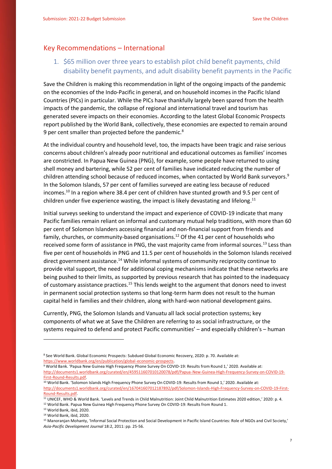### <span id="page-6-0"></span>Key Recommendations – International

<span id="page-6-1"></span>1. \$65 million over three years to establish pilot child benefit payments, child disability benefit payments, and adult disability benefit payments in the Pacific

Save the Children is making this recommendation in light of the ongoing impacts of the pandemic on the economies of the Indo-Pacific in general, and on household incomes in the Pacific Island Countries (PICs) in particular. While the PICs have thankfully largely been spared from the health impacts of the pandemic, the collapse of regional and international travel and tourism has generated severe impacts on their economies. According to the latest Global Economic Prospects report published by the World Bank, collectively, these economies are expected to remain around 9 per cent smaller than projected before the pandemic.<sup>8</sup>

At the individual country and household level, too, the impacts have been tragic and raise serious concerns about children's already poor nutritional and educational outcomes as families' incomes are constricted. In Papua New Guinea (PNG), for example, some people have returned to using shell money and bartering, while 52 per cent of families have indicated reducing the number of children attending school because of reduced incomes, when contacted by World Bank surveyors.<sup>9</sup> In the Solomon Islands, 57 per cent of families surveyed are eating less because of reduced incomes.<sup>10</sup> In a region where 38.4 per cent of children have stunted growth and 9.5 per cent of children under five experience wasting, the impact is likely devastating and lifelong.<sup>11</sup>

Initial surveys seeking to understand the impact and experience of COVID-19 indicate that many Pacific families remain reliant on informal and customary mutual help traditions, with more than 60 per cent of Solomon Islanders accessing financial and non-financial support from friends and family, churches, or community-based organisations.<sup>12</sup> Of the 41 per cent of households who received some form of assistance in PNG, the vast majority came from informal sources.<sup>13</sup> Less than five per cent of households in PNG and 11.5 per cent of households in the Solomon Islands received direct government assistance.<sup>14</sup> While informal systems of community reciprocity continue to provide vital support, the need for additional coping mechanisms indicate that these networks are being pushed to their limits, as supported by previous research that has pointed to the inadequacy of customary assistance practices.<sup>15</sup> This lends weight to the argument that donors need to invest in permanent social protection systems so that long-term harm does not result to the human capital held in families and their children, along with hard-won national development gains.

Currently, PNG, the Solomon Islands and Vanuatu all lack social protection systems; key components of what we at Save the Children are referring to as social infrastructure, or the systems required to defend and protect Pacific communities' – and especially children's – human

**.** 

<sup>8</sup> See World Bank. Global Economic Prospects: Subdued Global Economic Recovery, 2020: p. 70. Available at: [https://www.worldbank.org/en/publication/global-economic-prospects.](https://www.worldbank.org/en/publication/global-economic-prospects)

<sup>9</sup> World Bank. 'Papua New Guinea High Frequency Phone Survey On COVID-19: Results from Round 1,' 2020. Available at: [http://documents1.worldbank.org/curated/en/459511607010120078/pdf/Papua-New-Guinea-High-Frequency-Survey-on-COVID-19-](http://documents1.worldbank.org/curated/en/459511607010120078/pdf/Papua-New-Guinea-High-Frequency-Survey-on-COVID-19-First-Round-Results.pdf) [First-Round-Results.pdf.](http://documents1.worldbank.org/curated/en/459511607010120078/pdf/Papua-New-Guinea-High-Frequency-Survey-on-COVID-19-First-Round-Results.pdf) 

<sup>&</sup>lt;sup>10</sup> World Bank. 'Solomon Islands High Frequency Phone Survey On COVID-19: Results from Round 1,' 2020. Available at: [http://documents1.worldbank.org/curated/en/167041607012187892/pdf/Solomon-Islands-High-Frequency-Survey-on-COVID-19-First-](http://documents1.worldbank.org/curated/en/167041607012187892/pdf/Solomon-Islands-High-Frequency-Survey-on-COVID-19-First-Round-Results.pdf)[Round-Results.pdf.](http://documents1.worldbank.org/curated/en/167041607012187892/pdf/Solomon-Islands-High-Frequency-Survey-on-COVID-19-First-Round-Results.pdf)

<sup>11</sup> UNICEF, WHO & World Bank. 'Levels and Trends in Child Malnutrition: Joint Child Malnutrition Estimates 2020 edition,' 2020: p. 4.

<sup>12</sup> World Bank. Papua New Guinea High Frequency Phone Survey On COVID-19: Results from Round 1.

<sup>13</sup> World Bank, ibid, 2020.

<sup>14</sup> World Bank, ibid, 2020.

<sup>15</sup> Manoranjan Mohanty, 'Informal Social Protection and Social Development in Pacific Island Countries: Role of NGOs and Civil Society,' *Asia-Pacific Development Journal* 18:2, 2011: pp. 25-56.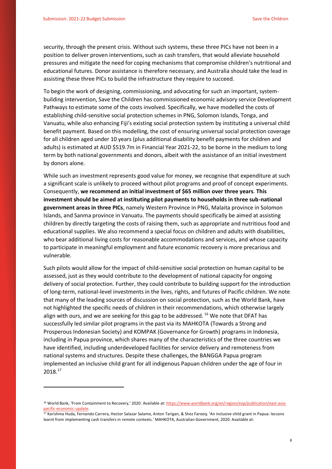**.** 

security, through the present crisis. Without such systems, these three PICs have not been in a position to deliver proven interventions, such as cash transfers, that would alleviate household pressures and mitigate the need for coping mechanisms that compromise children's nutritional and educational futures. Donor assistance is therefore necessary, and Australia should take the lead in assisting these three PICs to build the infrastructure they require to succeed.

To begin the work of designing, commissioning, and advocating for such an important, systembuilding intervention, Save the Children has commissioned economic advisory service Development Pathways to estimate some of the costs involved. Specifically, we have modelled the costs of establishing child-sensitive social protection schemes in PNG, Solomon Islands, Tonga, and Vanuatu, while also enhancing Fiji's existing social protection system by instituting a universal child benefit payment. Based on this modelling, the cost of ensuring universal social protection coverage for all children aged under 10 years (plus additional disability benefit payments for children and adults) is estimated at AUD \$519.7m in Financial Year 2021-22, to be borne in the medium to long term by both national governments and donors, albeit with the assistance of an initial investment by donors alone.

While such an investment represents good value for money, we recognise that expenditure at such a significant scale is unlikely to proceed without pilot programs and proof of concept experiments. Consequently, **we recommend an initial investment of \$65 million over three years**. **This investment should be aimed at instituting pilot payments to households in three sub-national government areas in three PICs**, namely Western Province in PNG, Malaita province in Solomon Islands, and Sanma province in Vanuatu. The payments should specifically be aimed at assisting children by directly targeting the costs of raising them, such as appropriate and nutritious food and educational supplies. We also recommend a special focus on children and adults with disabilities, who bear additional living costs for reasonable accommodations and services, and whose capacity to participate in meaningful employment and future economic recovery is more precarious and vulnerable.

Such pilots would allow for the impact of child-sensitive social protection on human capital to be assessed, just as they would contribute to the development of national capacity for ongoing delivery of social protection. Further, they could contribute to building support for the introduction of long-term, national-level investments in the lives, rights, and futures of Pacific children. We note that many of the leading sources of discussion on social protection, such as the World Bank, have not highlighted the specific needs of children in their recommendations, which otherwise largely align with ours, and we are seeking for this gap to be addressed.  $16$  We note that DFAT has successfully led similar pilot programs in the past via its MAHKOTA (Towards a Strong and Prosperous Indonesian Society) and KOMPAK (Governance for Growth) programs in Indonesia, including in Papua province, which shares many of the characteristics of the three countries we have identified, including underdeveloped facilities for service delivery and remoteness from national systems and structures. Despite these challenges, the BANGGA Papua program implemented an inclusive child grant for all indigenous Papuan children under the age of four in 2018.<sup>17</sup>

<sup>&</sup>lt;sup>16</sup> World Bank, 'From Containment to Recovery,' 2020. Available at[: https://www.worldbank.org/en/region/eap/publication/east-asia](https://www.worldbank.org/en/region/eap/publication/east-asia-pacific-economic-update)[pacific-economic-update.](https://www.worldbank.org/en/region/eap/publication/east-asia-pacific-economic-update) 

<sup>&</sup>lt;sup>17</sup> Karishma Huda, Fernando Carrera, Hector Salazar Salame, Anton Tarigan, & Shez Farooq. 'An inclusive child grant in Papua: lessons learnt from implementing cash transfers in remote contexts.' MAHKOTA, Australian Government, 2020. Available at: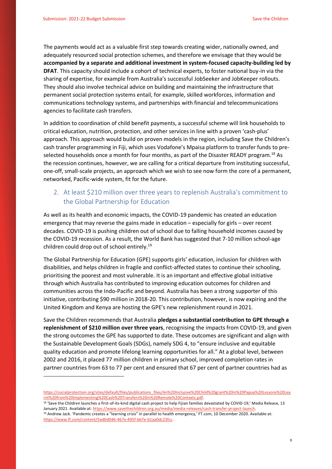**.** 

The payments would act as a valuable first step towards creating wider, nationally owned, and adequately resourced social protection schemes, and therefore we envisage that they would be **accompanied by a separate and additional investment in system-focused capacity-building led by DFAT**. This capacity should include a cohort of technical experts, to foster national buy-in via the sharing of expertise, for example from Australia's successful JobSeeker and JobKeeper rollouts. They should also involve technical advice on building and maintaining the infrastructure that permanent social protection systems entail, for example, skilled workforces, information and communications technology systems, and partnerships with financial and telecommunications agencies to facilitate cash transfers.

In addition to coordination of child benefit payments, a successful scheme will link households to critical education, nutrition, protection, and other services in line with a proven 'cash-plus' approach. This approach would build on proven models in the region, including Save the Children's cash transfer programming in Fiji, which uses Vodafone's Mpaisa platform to transfer funds to preselected households once a month for four months, as part of the Disaster READY program.<sup>18</sup> As the recession continues, however, we are calling for a critical departure from instituting successful, one-off, small-scale projects, an approach which we wish to see now form the core of a permanent, networked, Pacific-wide system, fit for the future.

## <span id="page-8-0"></span>2. At least \$210 million over three years to replenish Australia's commitment to the Global Partnership for Education

As well as its health and economic impacts, the COVID-19 pandemic has created an education emergency that may reverse the gains made in education – especially for girls – over recent decades. COVID-19 is pushing children out of school due to falling household incomes caused by the COVID-19 recession. As a result, the World Bank has suggested that 7-10 million school-age children could drop out of school entirely.<sup>19</sup>

The Global Partnership for Education (GPE) supports girls' education, inclusion for children with disabilities, and helps children in fragile and conflict-affected states to continue their schooling, prioritising the poorest and most vulnerable. It is an important and effective global initiative through which Australia has contributed to improving education outcomes for children and communities across the Indo-Pacific and beyond. Australia has been a strong supporter of this initiative, contributing \$90 million in 2018-20. This contribution, however, is now expiring and the United Kingdom and Kenya are hosting the GPE's new replenishment round in 2021.

Save the Children recommends that Australia **pledges a substantial contribution to GPE through a replenishment of \$210 million over three years**, recognising the impacts from COVID-19, and given the strong outcomes the GPE has supported to date. These outcomes are significant and align with the Sustainable Development Goals (SDGs), namely SDG 4, to "ensure inclusive and equitable quality education and promote lifelong learning opportunities for all." At a global level, between 2002 and 2016, it placed 77 million children in primary school, improved completion rates in partner countries from 63 to 77 per cent and ensured that 67 per cent of partner countries had as

<sup>18</sup> 'Save the Children launches a first-of-its-kind digital cash project to help Fijian families devastated by COVID-19,' Media Release, 13 January 2021. Available at[: https://www.savethechildren.org.au/media/media-releases/cash-transfer-project-launch.](https://www.savethechildren.org.au/media/media-releases/cash-transfer-project-launch)

[https://socialprotection.org/sites/default/files/publications\\_files/An%20Inclusive%20Child%20grant%20in%20Papua%20Lessons%20Lea](https://socialprotection.org/sites/default/files/publications_files/An%20Inclusive%20Child%20grant%20in%20Papua%20Lessons%20Learnt%20from%20Implementing%20Cash%20Transfers%20in%20Remote%20Contexts.pdf) [rnt%20from%20Implementing%20Cash%20Transfers%20in%20Remote%20Contexts.pdf.](https://socialprotection.org/sites/default/files/publications_files/An%20Inclusive%20Child%20grant%20in%20Papua%20Lessons%20Learnt%20from%20Implementing%20Cash%20Transfers%20in%20Remote%20Contexts.pdf)

<sup>&</sup>lt;sup>19</sup> Andrew Jack. 'Pandemic creates a "learning crisis" in parallel to health emergency,' FT.com, 10 December 2020. Available at: [https://www.ft.com/content/5ed0d046-467e-495f-b67e-b1aa0dc23fcc.](https://www.ft.com/content/5ed0d046-467e-495f-b67e-b1aa0dc23fcc)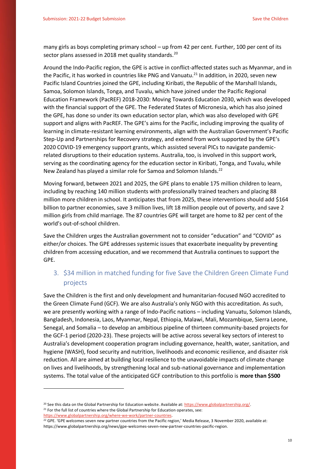many girls as boys completing primary school – up from 42 per cent. Further, 100 per cent of its sector plans assessed in 2018 met quality standards.<sup>20</sup>

Around the Indo-Pacific region, the GPE is active in conflict-affected states such as Myanmar, and in the Pacific, it has worked in countries like PNG and Vanuatu.<sup>21</sup> In addition, in 2020, seven new Pacific Island Countries joined the GPE, including Kiribati, the Republic of the Marshall Islands, Samoa, Solomon Islands, Tonga, and Tuvalu, which have joined under the Pacific Regional Education Framework (PacREF) 2018-2030: Moving Towards Education 2030, which was developed with the financial support of the GPE. The Federated States of Micronesia, which has also joined the GPE, has done so under its own education sector plan, which was also developed with GPE support and aligns with PacREF. The GPE's aims for the Pacific, including improving the quality of learning in climate-resistant learning environments, align with the Australian Government's Pacific Step-Up and Partnerships for Recovery strategy, and extend from work supported by the GPE's 2020 COVID-19 emergency support grants, which assisted several PICs to navigate pandemicrelated disruptions to their education systems. Australia, too, is involved in this support work, serving as the coordinating agency for the education sector in Kiribati, Tonga, and Tuvalu, while New Zealand has played a similar role for Samoa and Solomon Islands.<sup>22</sup>

Moving forward, between 2021 and 2025, the GPE plans to enable 175 million children to learn, including by reaching 140 million students with professionally trained teachers and placing 88 million more children in school. It anticipates that from 2025, these interventions should add \$164 billion to partner economies, save 3 million lives, lift 18 million people out of poverty, and save 2 million girls from child marriage. The 87 countries GPE will target are home to 82 per cent of the world's out-of-school children.

Save the Children urges the Australian government not to consider "education" and "COVID" as either/or choices. The GPE addresses systemic issues that exacerbate inequality by preventing children from accessing education, and we recommend that Australia continues to support the GPE.

## <span id="page-9-0"></span>3. \$34 million in matched funding for five Save the Children Green Climate Fund projects

Save the Children is the first and only development and humanitarian-focused NGO accredited to the Green Climate Fund (GCF). We are also Australia's only NGO with this accreditation. As such, we are presently working with a range of Indo-Pacific nations – including Vanuatu, Solomon Islands, Bangladesh, Indonesia, Laos, Myanmar, Nepal, Ethiopia, Malawi, Mali, Mozambique, Sierra Leone, Senegal, and Somalia – to develop an ambitious pipeline of thirteen community-based projects for the GCF-1 period (2020-23). These projects will be active across several key sectors of interest to Australia's development cooperation program including governance, health, water, sanitation, and hygiene (WASH), food security and nutrition, livelihoods and economic resilience, and disaster risk reduction. All are aimed at building local resilience to the unavoidable impacts of climate change on lives and livelihoods, by strengthening local and sub-national governance and implementation systems. The total value of the anticipated GCF contribution to this portfolio is **more than \$500** 

1

<sup>&</sup>lt;sup>20</sup> See this data on the Global Partnership for Education website. Available at[: https://www.globalpartnership.org/.](https://www.globalpartnership.org/)  $21$  For the full list of countries where the Global Partnership for Education operates, see: [https://www.globalpartnership.org/where-we-work/partner-countries.](https://www.globalpartnership.org/where-we-work/partner-countries)

 $22$  GPE. 'GPE welcomes seven new partner countries from the Pacific region,' Media Release, 3 November 2020, available at: https://www.globalpartnership.org/news/gpe-welcomes-seven-new-partner-countries-pacific-region.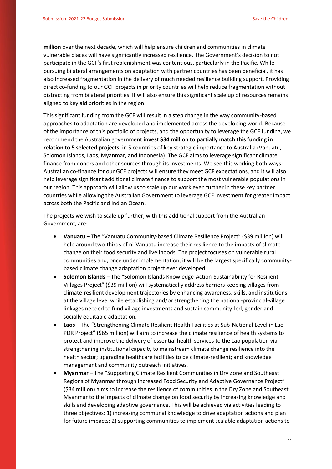**million** over the next decade, which will help ensure children and communities in climate vulnerable places will have significantly increased resilience. The Government's decision to not participate in the GCF's first replenishment was contentious, particularly in the Pacific. While pursuing bilateral arrangements on adaptation with partner countries has been beneficial, it has also increased fragmentation in the delivery of much needed resilience building support. Providing direct co-funding to our GCF projects in priority countries will help reduce fragmentation without distracting from bilateral priorities. It will also ensure this significant scale up of resources remains aligned to key aid priorities in the region.

This significant funding from the GCF will result in a step change in the way community-based approaches to adaptation are developed and implemented across the developing world. Because of the importance of this portfolio of projects, and the opportunity to leverage the GCF funding, we recommend the Australian government **invest \$34 million to partially match this funding in relation to 5 selected projects**, in 5 countries of key strategic importance to Australia (Vanuatu, Solomon Islands, Laos, Myanmar, and Indonesia). The GCF aims to leverage significant climate finance from donors and other sources through its investments. We see this working both ways: Australian co-finance for our GCF projects will ensure they meet GCF expectations, and it will also help leverage significant additional climate finance to support the most vulnerable populations in our region. This approach will allow us to scale up our work even further in these key partner countries while allowing the Australian Government to leverage GCF investment for greater impact across both the Pacific and Indian Ocean.

The projects we wish to scale up further, with this additional support from the Australian Government, are:

- **Vanuatu** The "Vanuatu Community-based Climate Resilience Project" (\$39 million) will help around two-thirds of ni-Vanuatu increase their resilience to the impacts of climate change on their food security and livelihoods. The project focuses on vulnerable rural communities and, once under implementation, it will be the largest specifically communitybased climate change adaptation project ever developed.
- **Solomon Islands** The "Solomon Islands Knowledge-Action-Sustainability for Resilient Villages Project" (\$39 million) will systematically address barriers keeping villages from climate-resilient development trajectories by enhancing awareness, skills, and institutions at the village level while establishing and/or strengthening the national-provincial-village linkages needed to fund village investments and sustain community-led, gender and socially equitable adaptation.
- **Laos** The "Strengthening Climate Resilient Health Facilities at Sub-National Level in Lao PDR Project" (\$65 million) will aim to increase the climate resilience of health systems to protect and improve the delivery of essential health services to the Lao population via strengthening institutional capacity to mainstream climate change resilience into the health sector; upgrading healthcare facilities to be climate-resilient; and knowledge management and community outreach initiatives.
- **Myanmar** The "Supporting Climate Resilient Communities in Dry Zone and Southeast Regions of Myanmar through Increased Food Security and Adaptive Governance Project" (\$34 million) aims to increase the resilience of communities in the Dry Zone and Southeast Myanmar to the impacts of climate change on food security by increasing knowledge and skills and developing adaptive governance. This will be achieved via activities leading to three objectives: 1) increasing communal knowledge to drive adaptation actions and plan for future impacts; 2) supporting communities to implement scalable adaptation actions to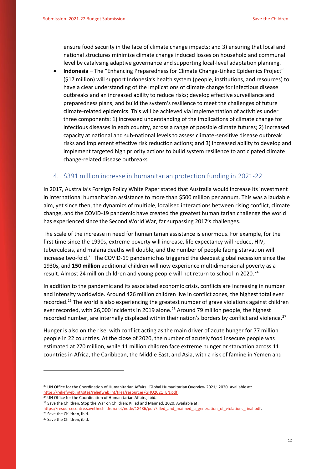ensure food security in the face of climate change impacts; and 3) ensuring that local and national structures minimize climate change induced losses on household and communal level by catalysing adaptive governance and supporting local-level adaptation planning.

 **Indonesia** – The "Enhancing Preparedness for Climate Change-Linked Epidemics Project" (\$17 million) will support Indonesia's health system (people, institutions, and resources) to have a clear understanding of the implications of climate change for infectious disease outbreaks and an increased ability to reduce risks; develop effective surveillance and preparedness plans; and build the system's resilience to meet the challenges of future climate-related epidemics. This will be achieved via implementation of activities under three components: 1) increased understanding of the implications of climate change for infectious diseases in each country, across a range of possible climate futures; 2) increased capacity at national and sub-national levels to assess climate-sensitive disease outbreak risks and implement effective risk reduction actions; and 3) increased ability to develop and implement targeted high priority actions to build system resilience to anticipated climate change-related disease outbreaks.

#### <span id="page-11-0"></span>4. \$391 million increase in humanitarian protection funding in 2021-22

In 2017, Australia's Foreign Policy White Paper stated that Australia would increase its investment in international humanitarian assistance to more than \$500 million per annum. This was a laudable aim, yet since then, the dynamics of multiple, localised interactions between rising conflict, climate change, and the COVID-19 pandemic have created the greatest humanitarian challenge the world has experienced since the Second World War, far surpassing 2017's challenges.

The scale of the increase in need for humanitarian assistance is enormous. For example, for the first time since the 1990s, extreme poverty will increase, life expectancy will reduce, HIV, tuberculosis, and malaria deaths will double, and the number of people facing starvation will increase two-fold.<sup>23</sup> The COVID-19 pandemic has triggered the deepest global recession since the 1930s, and **150 million** additional children will now experience multidimensional poverty as a result. Almost 24 million children and young people will not return to school in 2020.<sup>24</sup>

In addition to the pandemic and its associated economic crisis, conflicts are increasing in number and intensity worldwide. Around 426 million children live in conflict zones, the highest total ever recorded.<sup>25</sup> The world is also experiencing the greatest number of grave violations against children ever recorded, with 26,000 incidents in 2019 alone.<sup>26</sup> Around 79 million people, the highest recorded number, are internally displaced within their nation's borders by conflict and violence.<sup>27</sup>

Hunger is also on the rise, with conflict acting as the main driver of acute hunger for 77 million people in 22 countries. At the close of 2020, the number of acutely food insecure people was estimated at 270 million, while 11 million children face extreme hunger or starvation across 11 countries in Africa, the Caribbean, the Middle East, and Asia, with a risk of famine in Yemen and

<sup>26</sup> Save the Children, ibid.

**.** 

<sup>&</sup>lt;sup>23</sup> UN Office for the Coordination of Humanitarian Affairs. 'Global Humanitarian Overview 2021,' 2020. Available at: [https://reliefweb.int/sites/reliefweb.int/files/resources/GHO2021\\_EN.pdf.](https://reliefweb.int/sites/reliefweb.int/files/resources/GHO2021_EN.pdf)

<sup>&</sup>lt;sup>24</sup> UN Office for the Coordination of Humanitarian Affairs, Ibid.

<sup>&</sup>lt;sup>25</sup> Save the Children, Stop the War on Children: Killed and Maimed, 2020. Available at:

[https://resourcecentre.savethechildren.net/node/18486/pdf/killed\\_and\\_maimed\\_a\\_generation\\_of\\_violations\\_final.pdf.](https://resourcecentre.savethechildren.net/node/18486/pdf/killed_and_maimed_a_generation_of_violations_final.pdf)

<sup>27</sup> Save the Children, ibid.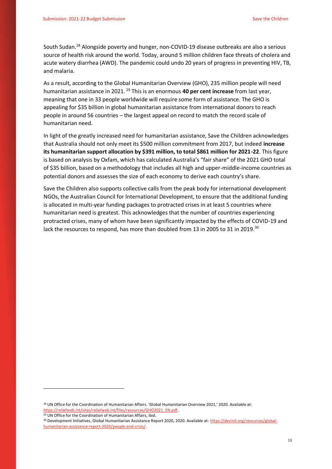South Sudan.<sup>28</sup> Alongside poverty and hunger, non-COVID-19 disease outbreaks are also a serious source of health risk around the world. Today, around 5 million children face threats of cholera and acute watery diarrhea (AWD). The pandemic could undo 20 years of progress in preventing HIV, TB, and malaria.

As a result, according to the Global Humanitarian Overview (GHO), 235 million people will need humanitarian assistance in 2021. <sup>29</sup> This is an enormous **40 per cent increase** from last year, meaning that one in 33 people worldwide will require some form of assistance. The GHO is appealing for \$35 billion in global humanitarian assistance from international donors to reach people in around 56 countries – the largest appeal on record to match the record scale of humanitarian need.

In light of the greatly increased need for humanitarian assistance, Save the Children acknowledges that Australia should not only meet its \$500 million commitment from 2017, but indeed **increase its humanitarian support allocation by \$391 million, to total \$861 million for 2021-22**. This figure is based on analysis by Oxfam, which has calculated Australia's "fair share" of the 2021 GHO total of \$35 billion, based on a methodology that includes all high and upper-middle-income countries as potential donors and assesses the size of each economy to derive each country's share.

Save the Children also supports collective calls from the peak body for international development NGOs, the Australian Council for International Development, to ensure that the additional funding is allocated in multi-year funding packages to protracted crises in at least 5 countries where humanitarian need is greatest. This acknowledges that the number of countries experiencing protracted crises, many of whom have been significantly impacted by the effects of COVID-19 and lack the resources to respond, has more than doubled from 13 in 2005 to 31 in 2019.<sup>30</sup>

<sup>29</sup> UN Office for the Coordination of Humanitarian Affairs, ibid.

1

<sup>&</sup>lt;sup>28</sup> UN Office for the Coordination of Humanitarian Affairs. 'Global Humanitarian Overview 2021,' 2020. Available at: https://reliefweb.int/sites/reliefweb.int/files/resources/GHO2021\_EN.pdf.

<sup>30</sup> Development Initiatives, Global Humanitarian Assistance Report 2020, 2020. Available at: [https://devinit.org/resources/global](https://devinit.org/resources/global-humanitarian-assistance-report-2020/people-and-crisis/)[humanitarian-assistance-report-2020/people-and-crisis/.](https://devinit.org/resources/global-humanitarian-assistance-report-2020/people-and-crisis/)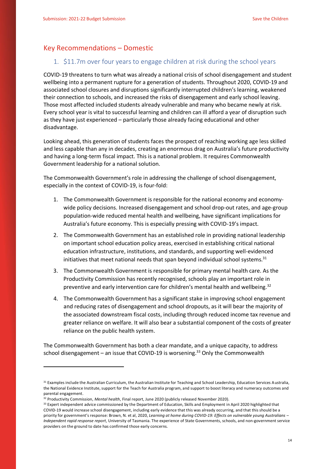## <span id="page-13-0"></span>Key Recommendations – Domestic

### <span id="page-13-1"></span>1. \$11.7m over four years to engage children at risk during the school years

COVID-19 threatens to turn what was already a national crisis of school disengagement and student wellbeing into a permanent rupture for a generation of students. Throughout 2020, COVID-19 and associated school closures and disruptions significantly interrupted children's learning, weakened their connection to schools, and increased the risks of disengagement and early school leaving. Those most affected included students already vulnerable and many who became newly at risk. Every school year is vital to successful learning and children can ill afford a year of disruption such as they have just experienced – particularly those already facing educational and other disadvantage.

Looking ahead, this generation of students faces the prospect of reaching working age less skilled and less capable than any in decades, creating an enormous drag on Australia's future productivity and having a long-term fiscal impact. This is a national problem. It requires Commonwealth Government leadership for a national solution.

The Commonwealth Government's role in addressing the challenge of school disengagement, especially in the context of COVID-19, is four-fold:

- 1. The Commonwealth Government is responsible for the national economy and economywide policy decisions. Increased disengagement and school drop-out rates, and age-group population-wide reduced mental health and wellbeing, have significant implications for Australia's future economy. This is especially pressing with COVID-19's impact.
- 2. The Commonwealth Government has an established role in providing national leadership on important school education policy areas, exercised in establishing critical national education infrastructure, institutions, and standards, and supporting well-evidenced initiatives that meet national needs that span beyond individual school systems.<sup>31</sup>
- 3. The Commonwealth Government is responsible for primary mental health care. As the Productivity Commission has recently recognised, schools play an important role in preventive and early intervention care for children's mental health and wellbeing.<sup>32</sup>
- 4. The Commonwealth Government has a significant stake in improving school engagement and reducing rates of disengagement and school dropouts, as it will bear the majority of the associated downstream fiscal costs, including through reduced income tax revenue and greater reliance on welfare. It will also bear a substantial component of the costs of greater reliance on the public health system.

The Commonwealth Government has both a clear mandate, and a unique capacity, to address school disengagement - an issue that COVID-19 is worsening.<sup>33</sup> Only the Commonwealth

**-**

<sup>31</sup> Examples include the Australian Curriculum, the Australian Institute for Teaching and School Leadership, Education Services Australia, the National Evidence Institute, support for the Teach for Australia program, and support to boost literacy and numeracy outcomes and parental engagement.

<sup>32</sup> Productivity Commission, *Mental health*, Final report, June 2020 (publicly released November 2020).

<sup>33</sup> Expert independent advice commissioned by the Department of Education, Skills and Employment in April 2020 highlighted that COVID-19 would increase school disengagement, including early evidence that this was already occurring, and that this should be a priority for government's response: Brown, N. et al, 2020, *Learning at home during COVID-19: Effects on vulnerable young Australians – Independent rapid response report*, University of Tasmania. The experience of State Governments, schools, and non-government service providers on the ground to date has confirmed those early concerns.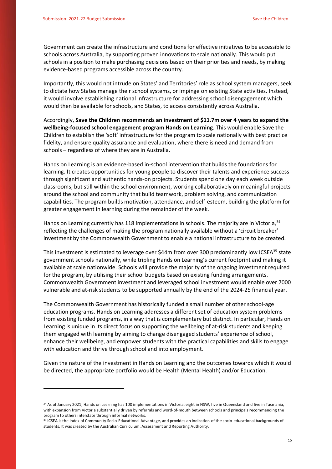1

Government can create the infrastructure and conditions for effective initiatives to be accessible to schools across Australia, by supporting proven innovations to scale nationally. This would put schools in a position to make purchasing decisions based on their priorities and needs, by making evidence-based programs accessible across the country.

Importantly, this would not intrude on States' and Territories' role as school system managers, seek to dictate how States manage their school systems, or impinge on existing State activities. Instead, it would involve establishing national infrastructure for addressing school disengagement which would then be available for schools, and States, to access consistently across Australia.

Accordingly, **Save the Children recommends an investment of \$11.7m over 4 years to expand the wellbeing-focused school engagement program Hands on Learning**. This would enable Save the Children to establish the 'soft' infrastructure for the program to scale nationally with best practice fidelity, and ensure quality assurance and evaluation, where there is need and demand from schools – regardless of where they are in Australia.

Hands on Learning is an evidence-based in-school intervention that builds the foundations for learning. It creates opportunities for young people to discover their talents and experience success through significant and authentic hands-on projects. Students spend one day each week outside classrooms, but still within the school environment, working collaboratively on meaningful projects around the school and community that build teamwork, problem solving, and communication capabilities. The program builds motivation, attendance, and self-esteem, building the platform for greater engagement in learning during the remainder of the week.

Hands on Learning currently has 118 implementations in schools. The majority are in Victoria, 34 reflecting the challenges of making the program nationally available without a 'circuit breaker' investment by the Commonwealth Government to enable a national infrastructure to be created.

This investment is estimated to leverage over \$44m from over 300 predominantly low ICSEA<sup>35</sup> state government schools nationally, while tripling Hands on Learning's current footprint and making it available at scale nationwide. Schools will provide the majority of the ongoing investment required for the program, by utilising their school budgets based on existing funding arrangements. Commonwealth Government investment and leveraged school investment would enable over 7000 vulnerable and at-risk students to be supported annually by the end of the 2024-25 financial year.

The Commonwealth Government has historically funded a small number of other school-age education programs. Hands on Learning addresses a different set of education system problems from existing funded programs, in a way that is complementary but distinct. In particular, Hands on Learning is unique in its direct focus on supporting the wellbeing of at-risk students and keeping them engaged with learning by aiming to change disengaged students' experience of school, enhance their wellbeing, and empower students with the practical capabilities and skills to engage with education and thrive through school and into employment.

Given the nature of the investment in Hands on Learning and the outcomes towards which it would be directed, the appropriate portfolio would be Health (Mental Health) and/or Education.

<sup>34</sup> As of January 2021, Hands on Learning has 100 implementations in Victoria, eight in NSW, five in Queensland and five in Tasmania, with expansion from Victoria substantially driven by referrals and word-of-mouth between schools and principals recommending the program to others interstate through informal networks.

<sup>&</sup>lt;sup>35</sup> ICSEA is the Index of Community Socio-Educational Advantage, and provides an indication of the socio-educational backgrounds of students. It was created by the Australian Curriculum, Assessment and Reporting Authority.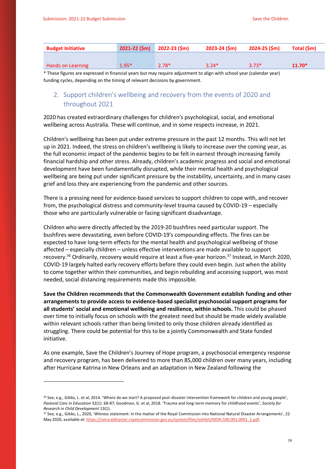**-**

| <b>Budget Initiative</b> | $2021 - 22$ (\$m) $2022 - 23$ (\$m) |         | $2023 - 24$ (\$m) | 2024-25 (\$m) | Total (\$m) |
|--------------------------|-------------------------------------|---------|-------------------|---------------|-------------|
|                          |                                     |         |                   |               |             |
| Hands on Learning        | $1.95*$                             | $2.78*$ | $3.24*$           | $3.73*$       | $11.70*$    |

\* These figures are expressed in financial years but may require adjustment to align with school year (calendar year) funding cycles, depending on the timing of relevant decisions by government.

## <span id="page-15-0"></span>2. Support children's wellbeing and recovery from the events of 2020 and throughout 2021

2020 has created extraordinary challenges for children's psychological, social, and emotional wellbeing across Australia. These will continue, and in some respects increase, in 2021.

Children's wellbeing has been put under extreme pressure in the past 12 months. This will not let up in 2021. Indeed, the stress on children's wellbeing is likely to increase over the coming year, as the full economic impact of the pandemic begins to be felt in earnest through increasing family financial hardship and other stress. Already, children's academic progress and social and emotional development have been fundamentally disrupted, while their mental health and psychological wellbeing are being put under significant pressure by the instability, uncertainty, and in many cases grief and loss they are experiencing from the pandemic and other sources.

There is a pressing need for evidence-based services to support children to cope with, and recover from, the psychological distress and community-level trauma caused by COVID-19 – especially those who are particularly vulnerable or facing significant disadvantage.

Children who were directly affected by the 2019-20 bushfires need particular support. The bushfires were devastating, even before COVID-19's compounding effects. The fires can be expected to have long-term effects for the mental health and psychological wellbeing of those affected – especially children – unless effective interventions are made available to support recovery.<sup>36</sup> Ordinarily, recovery would require at least a five-year horizon.<sup>37</sup> Instead, in March 2020, COVID-19 largely halted early recovery efforts before they could even begin. Just when the ability to come together within their communities, and begin rebuilding and accessing support, was most needed, social distancing requirements made this impossible.

**Save the Children recommends that the Commonwealth Government establish funding and other arrangements to provide access to evidence-based specialist psychosocial support programs for all students' social and emotional wellbeing and resilience, within schools.** This could be phased over time to initially focus on schools with the greatest need but should be made widely available within relevant schools rather than being limited to only those children already identified as struggling. There could be potential for this to be a jointly Commonwealth and State funded initiative.

As one example, Save the Children's Journey of Hope program, a psychosocial emergency response and recovery program, has been delivered to more than 85,000 children over many years, including after Hurricane Katrina in New Orleans and an adaptation in New Zealand following the

<sup>&</sup>lt;sup>36</sup> See, e.g., Gibbs, L. et al, 2014. 'Where do we start? A proposed post-disaster intervention framework for children and young people', *Pastoral Care in Education* 32(1): 68-87; Goodman, G. et al, 2018. 'Trauma and long-term memory for childhood events', *Society for Research in Child Development* 13(1).

<sup>37</sup> See, e.g., Gibbs, L., 2020, 'Witness statement: In the matter of the Royal Commission into National Natural Disaster Arrangements', 22 May 2020, available at[: https://naturaldisaster.royalcommission.gov.au/system/files/exhibit/MDH.500.001.0001\\_1.pdf.](https://naturaldisaster.royalcommission.gov.au/system/files/exhibit/MDH.500.001.0001_1.pdf)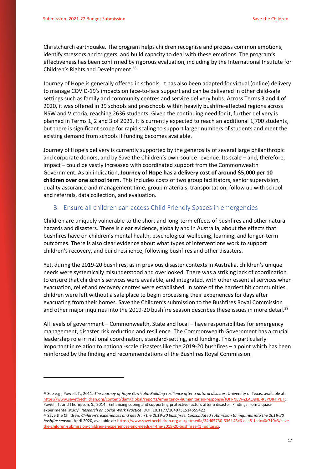**-**

Christchurch earthquake. The program helps children recognise and process common emotions, identify stressors and triggers, and build capacity to deal with these emotions. The program's effectiveness has been confirmed by rigorous evaluation, including by the International Institute for Children's Rights and Development.<sup>38</sup>

Journey of Hope is generally offered in schools. It has also been adapted for virtual (online) delivery to manage COVID-19's impacts on face-to-face support and can be delivered in other child-safe settings such as family and community centres and service delivery hubs. Across Terms 3 and 4 of 2020, it was offered in 39 schools and preschools within heavily bushfire-affected regions across NSW and Victoria, reaching 2636 students. Given the continuing need for it, further delivery is planned in Terms 1, 2 and 3 of 2021. It is currently expected to reach an additional 1,700 students, but there is significant scope for rapid scaling to support larger numbers of students and meet the existing demand from schools if funding becomes available.

Journey of Hope's delivery is currently supported by the generosity of several large philanthropic and corporate donors, and by Save the Children's own-source revenue. Its scale – and, therefore, impact – could be vastly increased with coordinated support from the Commonwealth Government. As an indication, **Journey of Hope has a delivery cost of around \$5,000 per 10 children over one school term.** This includes costs of two group facilitators, senior supervision, quality assurance and management time, group materials, transportation, follow up with school and referrals, data collection, and evaluation.

#### <span id="page-16-0"></span>3. Ensure all children can access Child Friendly Spaces in emergencies

Children are uniquely vulnerable to the short and long-term effects of bushfires and other natural hazards and disasters. There is clear evidence, globally and in Australia, about the effects that bushfires have on children's mental health, psychological wellbeing, learning, and longer-term outcomes. There is also clear evidence about what types of interventions work to support children's recovery, and build resilience, following bushfires and other disasters.

Yet, during the 2019-20 bushfires, as in previous disaster contexts in Australia, children's unique needs were systemically misunderstood and overlooked. There was a striking lack of coordination to ensure that children's services were available, and integrated, with other essential services when evacuation, relief and recovery centres were established. In some of the hardest hit communities, children were left without a safe place to begin processing their experiences for days after evacuating from their homes. Save the Children's submission to the Bushfires Royal Commission and other major inquiries into the 2019-20 bushfire season describes these issues in more detail.<sup>39</sup>

All levels of government – Commonwealth, State and local – have responsibilities for emergency management, disaster risk reduction and resilience. The Commonwealth Government has a crucial leadership role in national coordination, standard-setting, and funding. This is particularly important in relation to national-scale disasters like the 2019-20 bushfires – a point which has been reinforced by the finding and recommendations of the Bushfires Royal Commission.

<sup>&</sup>lt;sup>38</sup> See e.g., Powell, T., 2011. The Journey of Hope Curricula: Building resilience after a natural disaster, University of Texas, available at: [https://www.savethechildren.org/content/dam/global/reports/emergency-humanitarian-response/JOH-NEW-ZEALAND-REPORT.PDF;](https://www.savethechildren.org/content/dam/global/reports/emergency-humanitarian-response/JOH-NEW-ZEALAND-REPORT.PDF)  Powell, T. and Thompson, S., 2014. 'Enhancing coping and supporting protective factors after a disaster: Findings from a quasiexperimental study', *Research on Social Work Practice*, DOI: 10.1177/1049731514559422.

<sup>39</sup> Save the Children, *Children's experiences and needs in the 2019-20 bushfires: Consolidated submission to inquiries into the 2019-20 bushfire season*, April 2020, available at[: https://www.savethechildren.org.au/getmedia/34d65730-536f-43c6-aaa8-1cdca0c710c3/save](https://www.savethechildren.org.au/getmedia/34d65730-536f-43c6-aaa8-1cdca0c710c3/save-the-children-submission-children-s-experiences-and-needs-in-the-2019-20-bushfires-(1).pdf.aspx)[the-children-submission-children-s-experiences-and-needs-in-the-2019-20-bushfires-\(1\).pdf.aspx.](https://www.savethechildren.org.au/getmedia/34d65730-536f-43c6-aaa8-1cdca0c710c3/save-the-children-submission-children-s-experiences-and-needs-in-the-2019-20-bushfires-(1).pdf.aspx)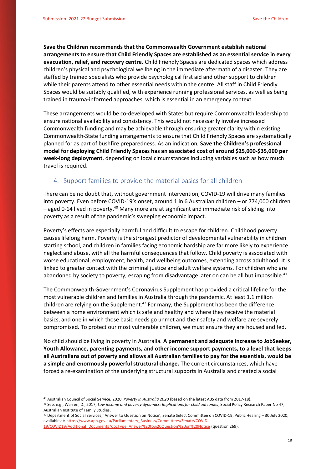**Save the Children recommends that the Commonwealth Government establish national arrangements to ensure that Child Friendly Spaces are established as an essential service in every evacuation, relief, and recovery centre.** Child Friendly Spaces are dedicated spaces which address children's physical and psychological wellbeing in the immediate aftermath of a disaster. They are staffed by trained specialists who provide psychological first aid and other support to children while their parents attend to other essential needs within the centre. All staff in Child Friendly Spaces would be suitably qualified, with experience running professional services, as well as being trained in trauma-informed approaches, which is essential in an emergency context.

These arrangements would be co-developed with States but require Commonwealth leadership to ensure national availability and consistency. This would not necessarily involve increased Commonwealth funding and may be achievable through ensuring greater clarity within existing Commonwealth-State funding arrangements to ensure that Child Friendly Spaces are systematically planned for as part of bushfire preparedness. As an indication, **Save the Children's professional model for deploying Child Friendly Spaces has an associated cost of around \$25,000-\$35,000 per week-long deployment**, depending on local circumstances including variables such as how much travel is required**.**

### <span id="page-17-0"></span>4. Support families to provide the material basics for all children

There can be no doubt that, without government intervention, COVID-19 will drive many families into poverty. Even before COVID-19's onset, around 1 in 6 Australian children – or 774,000 children  $-$  aged 0-14 lived in poverty.<sup>40</sup> Many more are at significant and immediate risk of sliding into poverty as a result of the pandemic's sweeping economic impact.

Poverty's effects are especially harmful and difficult to escape for children. Childhood poverty causes lifelong harm. Poverty is the strongest predictor of developmental vulnerability in children starting school, and children in families facing economic hardship are far more likely to experience neglect and abuse, with all the harmful consequences that follow. Child poverty is associated with worse educational, employment, health, and wellbeing outcomes, extending across adulthood. It is linked to greater contact with the criminal justice and adult welfare systems. For children who are abandoned by society to poverty, escaping from disadvantage later on can be all but impossible.<sup>41</sup>

The Commonwealth Government's Coronavirus Supplement has provided a critical lifeline for the most vulnerable children and families in Australia through the pandemic. At least 1.1 million children are relying on the Supplement.<sup>42</sup> For many, the Supplement has been the difference between a home environment which is safe and healthy and where they receive the material basics, and one in which those basic needs go unmet and their safety and welfare are severely compromised. To protect our most vulnerable children, we must ensure they are housed and fed.

No child should be living in poverty in Australia. **A permanent and adequate increase to JobSeeker, Youth Allowance, parenting payments, and other income support payments, to a level that keeps all Australians out of poverty and allows all Australian families to pay for the essentials, would be a simple and enormously powerful structural change.** The current circumstances, which have forced a re-examination of the underlying structural supports in Australia and created a social

<sup>41</sup> See, e.g., Warren, D., 2017, *Low income and poverty dynamics: Implications for child outcomes*, Social Policy Research Paper No 47, Australian Institute of Family Studies.

**.** 

<sup>40</sup> Australian Council of Social Service, 2020, *Poverty in Australia 2020* (based on the latest ABS data from 2017-18).

<sup>42</sup> Department of Social Services, 'Answer to Question on Notice', Senate Select Committee on COVID-19, Public Hearing – 30 July 2020, available at[: https://www.aph.gov.au/Parliamentary\\_Business/Committees/Senate/COVID-](https://www.aph.gov.au/Parliamentary_Business/Committees/Senate/COVID-19/COVID19/Additional_Documents?docType=Answer%20to%20Question%20on%20Notice)

[<sup>19/</sup>COVID19/Additional\\_Documents?docType=Answer%20to%20Question%20on%20Notice](https://www.aph.gov.au/Parliamentary_Business/Committees/Senate/COVID-19/COVID19/Additional_Documents?docType=Answer%20to%20Question%20on%20Notice) (question 269).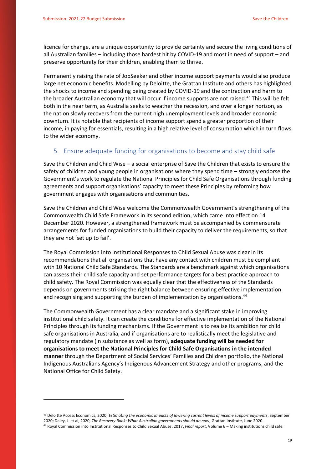**.** 

licence for change, are a unique opportunity to provide certainty and secure the living conditions of all Australian families – including those hardest hit by COVID-19 and most in need of support – and preserve opportunity for their children, enabling them to thrive.

Permanently raising the rate of JobSeeker and other income support payments would also produce large net economic benefits. Modelling by Deloitte, the Grattan Institute and others has highlighted the shocks to income and spending being created by COVID-19 and the contraction and harm to the broader Australian economy that will occur if income supports are not raised.<sup>43</sup> This will be felt both in the near term, as Australia seeks to weather the recession, and over a longer horizon, as the nation slowly recovers from the current high unemployment levels and broader economic downturn. It is notable that recipients of income support spend a greater proportion of their income, in paying for essentials, resulting in a high relative level of consumption which in turn flows to the wider economy.

#### <span id="page-18-0"></span>5. Ensure adequate funding for organisations to become and stay child safe

Save the Children and Child Wise – a social enterprise of Save the Children that exists to ensure the safety of children and young people in organisations where they spend time – strongly endorse the Government's work to regulate the National Principles for Child Safe Organisations through funding agreements and support organisations' capacity to meet these Principles by reforming how government engages with organisations and communities.

Save the Children and Child Wise welcome the Commonwealth Government's strengthening of the Commonwealth Child Safe Framework in its second edition, which came into effect on 14 December 2020. However, a strengthened framework must be accompanied by commensurate arrangements for funded organisations to build their capacity to deliver the requirements, so that they are not 'set up to fail'.

The Royal Commission into Institutional Responses to Child Sexual Abuse was clear in its recommendations that all organisations that have any contact with children must be compliant with 10 National Child Safe Standards. The Standards are a benchmark against which organisations can assess their child safe capacity and set performance targets for a best practice approach to child safety. The Royal Commission was equally clear that the effectiveness of the Standards depends on governments striking the right balance between ensuring effective implementation and recognising and supporting the burden of implementation by organisations.<sup>44</sup>

The Commonwealth Government has a clear mandate and a significant stake in improving institutional child safety. It can create the conditions for effective implementation of the National Principles through its funding mechanisms. If the Government is to realise its ambition for child safe organisations in Australia, and if organisations are to realistically meet the legislative and regulatory mandate (in substance as well as form), **adequate funding will be needed for organisations to meet the National Principles for Child Safe Organisations in the intended manner** through the Department of Social Services' Families and Children portfolio, the National Indigenous Australians Agency's Indigenous Advancement Strategy and other programs, and the National Office for Child Safety.

<sup>43</sup> Deloitte Access Economics, 2020, *Estimating the economic impacts of lowering current levels of income support payments*, September 2020; Daley, J. et al, 2020, *The Recovery Book: What Australian governments should do now*, Grattan Institute, June 2020. <sup>44</sup> Royal Commission into Institutional Responses to Child Sexual Abuse, 2017, *Final report*, Volume 6 – Making institutions child safe.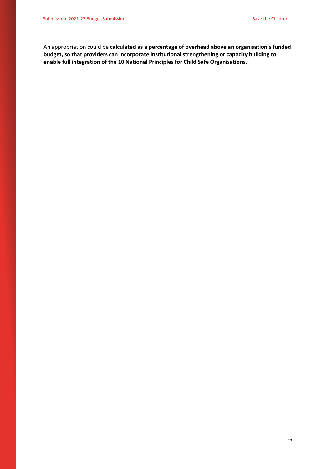An appropriation could be **calculated as a percentage of overhead above an organisation's funded budget, so that providers can incorporate institutional strengthening or capacity building to enable full integration of the 10 National Principles for Child Safe Organisations**.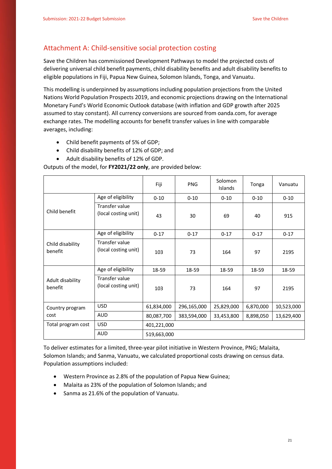## <span id="page-20-0"></span>Attachment A: Child-sensitive social protection costing

Save the Children has commissioned Development Pathways to model the projected costs of delivering universal child benefit payments, child disability benefits and adult disability benefits to eligible populations in Fiji, Papua New Guinea, Solomon Islands, Tonga, and Vanuatu.

This modelling is underpinned by assumptions including population projections from the United Nations World Population Prospects 2019, and economic projections drawing on the International Monetary Fund's World Economic Outlook database (with inflation and GDP growth after 2025 assumed to stay constant). All currency conversions are sourced from oanda.com, for average exchange rates. The modelling accounts for benefit transfer values in line with comparable averages, including:

- Child benefit payments of 5% of GDP;
- Child disability benefits of 12% of GDP; and
- Adult disability benefits of 12% of GDP.

Outputs of the model, for **FY2021/22 only**, are provided below:

|                             |                                        | Fiji        | <b>PNG</b>  | Solomon<br>Islands | Tonga     | Vanuatu    |
|-----------------------------|----------------------------------------|-------------|-------------|--------------------|-----------|------------|
|                             | Age of eligibility                     | $0 - 10$    | $0 - 10$    | $0 - 10$           | $0 - 10$  | $0 - 10$   |
| Child benefit               | Transfer value<br>(local costing unit) | 43          | 30          | 69                 | 40        | 915        |
|                             | Age of eligibility                     | $0 - 17$    | $0 - 17$    | $0 - 17$           | $0 - 17$  | $0 - 17$   |
| Child disability<br>benefit | Transfer value<br>(local costing unit) | 103         | 73          | 164                | 97        | 2195       |
|                             | Age of eligibility                     | 18-59       | 18-59       | 18-59              | 18-59     | 18-59      |
| Adult disability<br>benefit | Transfer value<br>(local costing unit) | 103         | 73          | 164                | 97        | 2195       |
| Country program             | <b>USD</b>                             | 61,834,000  | 296,165,000 | 25,829,000         | 6,870,000 | 10,523,000 |
| cost                        | <b>AUD</b>                             | 80,087,700  | 383,594,000 | 33,453,800         | 8,898,050 | 13,629,400 |
| Total program cost          | <b>USD</b>                             | 401,221,000 |             |                    |           |            |
|                             | <b>AUD</b>                             | 519,663,000 |             |                    |           |            |

To deliver estimates for a limited, three-year pilot initiative in Western Province, PNG; Malaita, Solomon Islands; and Sanma, Vanuatu, we calculated proportional costs drawing on census data. Population assumptions included:

- Western Province as 2.8% of the population of Papua New Guinea;
- Malaita as 23% of the population of Solomon Islands; and
- Sanma as 21.6% of the population of Vanuatu.